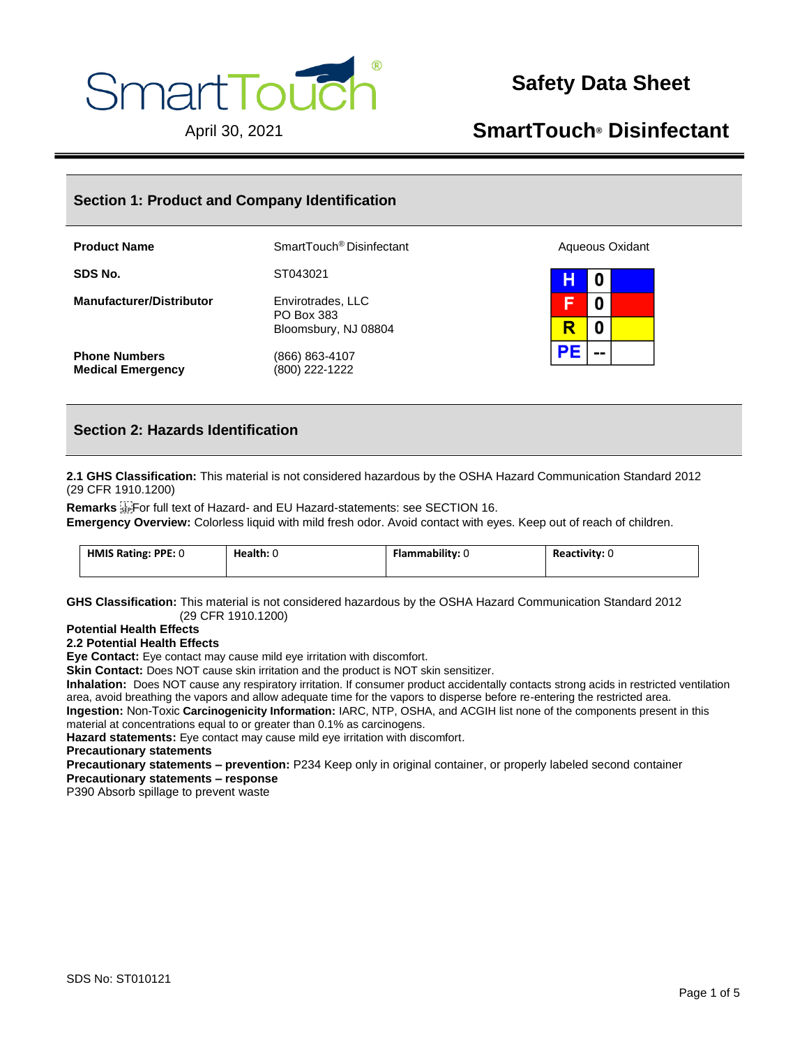

# **Safety Data Sheet**

# April 30, 2021 **SmartTouch® Disinfectant**

# **Section 1: Product and Company Identification**

| <b>Product Name</b>             | SmartTouch <sup>®</sup> Disinfectant                    | Aqueous Oxidant |
|---------------------------------|---------------------------------------------------------|-----------------|
| SDS No.                         | ST043021                                                | н<br>0          |
| <b>Manufacturer/Distributor</b> | Envirotrades, LLC<br>PO Box 383<br>Bloomsbury, NJ 08804 | 0               |
|                                 |                                                         | 0               |
| <b>Phone Numbers</b>            | (866) 863-4107                                          | $=$ $=$         |
| <b>Medical Emergency</b>        | (800) 222-1222                                          |                 |

# **Section 2: Hazards Identification**

**2.1 GHS Classification:** This material is not considered hazardous by the OSHA Hazard Communication Standard 2012 (29 CFR 1910.1200)

**Remarks**  For full text of Hazard- and EU Hazard-statements: see SECTION 16. **Emergency Overview:** Colorless liquid with mild fresh odor. Avoid contact with eyes. Keep out of reach of children.

| HMIS Rating: PPE: 0 | Health: 0 | Flammability: U | Reactivity: 0 |
|---------------------|-----------|-----------------|---------------|
|                     |           |                 |               |

**GHS Classification:** This material is not considered hazardous by the OSHA Hazard Communication Standard 2012 (29 CFR 1910.1200)

### **Potential Health Effects**

### **2.2 Potential Health Effects**

**Eye Contact:** Eye contact may cause mild eye irritation with discomfort.

**Skin Contact:** Does NOT cause skin irritation and the product is NOT skin sensitizer.

**Inhalation:** Does NOT cause any respiratory irritation. If consumer product accidentally contacts strong acids in restricted ventilation area, avoid breathing the vapors and allow adequate time for the vapors to disperse before re-entering the restricted area. **Ingestion:** Non-Toxic **Carcinogenicity Information:** IARC, NTP, OSHA, and ACGIH list none of the components present in this material at concentrations equal to or greater than 0.1% as carcinogens.

**Hazard statements:** Eye contact may cause mild eye irritation with discomfort.

**Precautionary statements**

**Precautionary statements – prevention:** P234 Keep only in original container, or properly labeled second container **Precautionary statements – response**

P390 Absorb spillage to prevent waste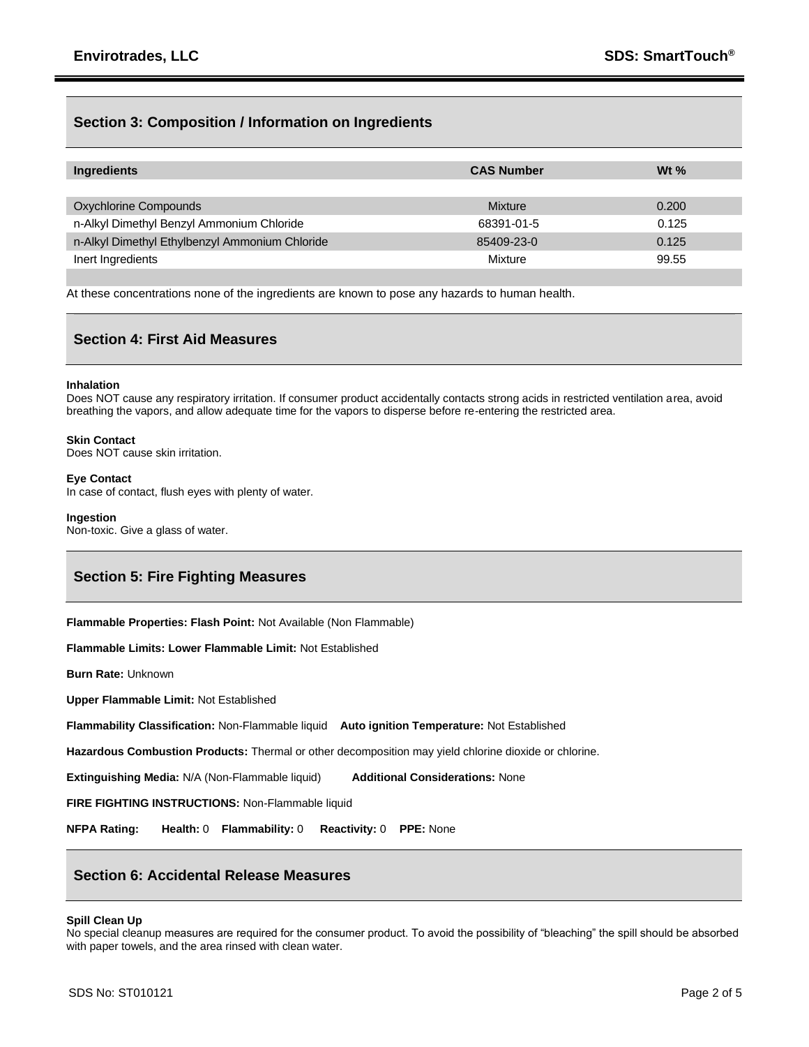## **Section 3: Composition / Information on Ingredients**

| Ingredients                                    | <b>CAS Number</b> | Wt $%$ |
|------------------------------------------------|-------------------|--------|
|                                                |                   |        |
| Oxychlorine Compounds                          | Mixture           | 0.200  |
| n-Alkyl Dimethyl Benzyl Ammonium Chloride      | 68391-01-5        | 0.125  |
| n-Alkyl Dimethyl Ethylbenzyl Ammonium Chloride | 85409-23-0        | 0.125  |
| Inert Ingredients                              | Mixture           | 99.55  |

At these concentrations none of the ingredients are known to pose any hazards to human health.

### **Section 4: First Aid Measures**

#### **Inhalation**

Does NOT cause any respiratory irritation. If consumer product accidentally contacts strong acids in restricted ventilation area, avoid breathing the vapors, and allow adequate time for the vapors to disperse before re-entering the restricted area.

### **Skin Contact**

Does NOT cause skin irritation.

### **Eye Contact** In case of contact, flush eyes with plenty of water.

**Ingestion** Non-toxic. Give a glass of water.

## **Section 5: Fire Fighting Measures**

**Flammable Properties: Flash Point:** Not Available (Non Flammable)

**Flammable Limits: Lower Flammable Limit:** Not Established

**Burn Rate:** Unknown

**Upper Flammable Limit:** Not Established

**Flammability Classification:** Non-Flammable liquid **Auto ignition Temperature:** Not Established

**Hazardous Combustion Products:** Thermal or other decomposition may yield chlorine dioxide or chlorine.

**Extinguishing Media:** N/A (Non-Flammable liquid) **Additional Considerations:** None

**FIRE FIGHTING INSTRUCTIONS:** Non-Flammable liquid

**NFPA Rating: Health:** 0 **Flammability:** 0 **Reactivity:** 0 **PPE:** None

# **Section 6: Accidental Release Measures**

### **Spill Clean Up**

No special cleanup measures are required for the consumer product. To avoid the possibility of "bleaching" the spill should be absorbed with paper towels, and the area rinsed with clean water.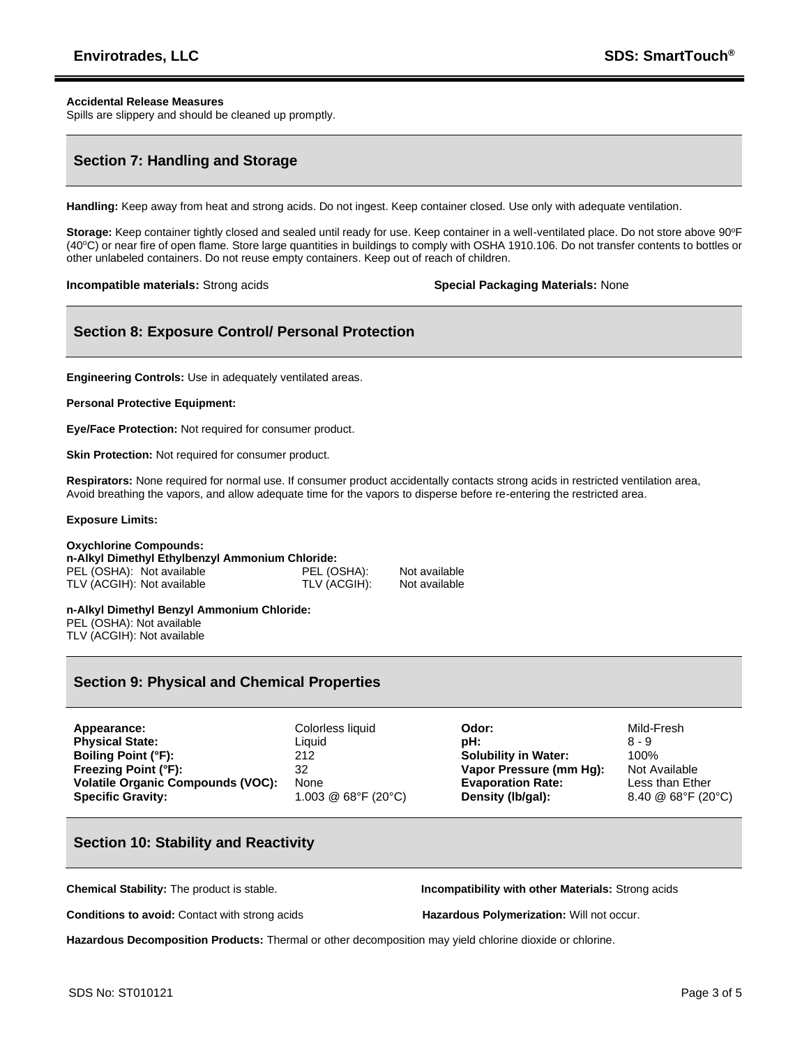### **Accidental Release Measures**

Spills are slippery and should be cleaned up promptly.

## **Section 7: Handling and Storage**

**Handling:** Keep away from heat and strong acids. Do not ingest. Keep container closed. Use only with adequate ventilation.

Storage: Keep container tightly closed and sealed until ready for use. Keep container in a well-ventilated place. Do not store above 90°F (40°C) or near fire of open flame. Store large quantities in buildings to comply with OSHA 1910.106. Do not transfer contents to bottles or other unlabeled containers. Do not reuse empty containers. Keep out of reach of children.

**Incompatible materials:** Strong acids **Special Packaging Materials:** None

# **Section 8: Exposure Control/ Personal Protection**

**Engineering Controls:** Use in adequately ventilated areas.

#### **Personal Protective Equipment:**

**Eye/Face Protection:** Not required for consumer product.

**Skin Protection: Not required for consumer product.** 

**Respirators:** None required for normal use. If consumer product accidentally contacts strong acids in restricted ventilation area, Avoid breathing the vapors, and allow adequate time for the vapors to disperse before re-entering the restricted area.

#### **Exposure Limits:**

#### **Oxychlorine Compounds: n-Alkyl Dimethyl Ethylbenzyl Ammonium Chloride:** PEL (OSHA): Not available PEL (OSHA): Not available TLV (ACGIH): Not available

**n-Alkyl Dimethyl Benzyl Ammonium Chloride:** PEL (OSHA): Not available TLV (ACGIH): Not available

### **Section 9: Physical and Chemical Properties**

| Appearance:                              | Colorless liquid    | Odor:                       | Mild-Fresh         |
|------------------------------------------|---------------------|-----------------------------|--------------------|
| <b>Physical State:</b>                   | Liauid              | pH:                         | 8 - 9              |
| <b>Boiling Point (°F):</b>               | 212                 | <b>Solubility in Water:</b> | 100%               |
| <b>Freezing Point (°F):</b>              | 32                  | Vapor Pressure (mm Hq):     | Not Available      |
| <b>Volatile Organic Compounds (VOC):</b> | None                | <b>Evaporation Rate:</b>    | Less than Ether    |
| <b>Specific Gravity:</b>                 | 1.003 @ 68°F (20°C) | Density (lb/gal):           | 8.40 @ 68°F (20°C) |

## **Section 10: Stability and Reactivity**

**Chemical Stability:** The product is stable. **Incompatibility with other Materials:** Strong acids

**Conditions to avoid:** Contact with strong acids **Hazardous Polymerization:** Will not occur.

**Hazardous Decomposition Products:** Thermal or other decomposition may yield chlorine dioxide or chlorine.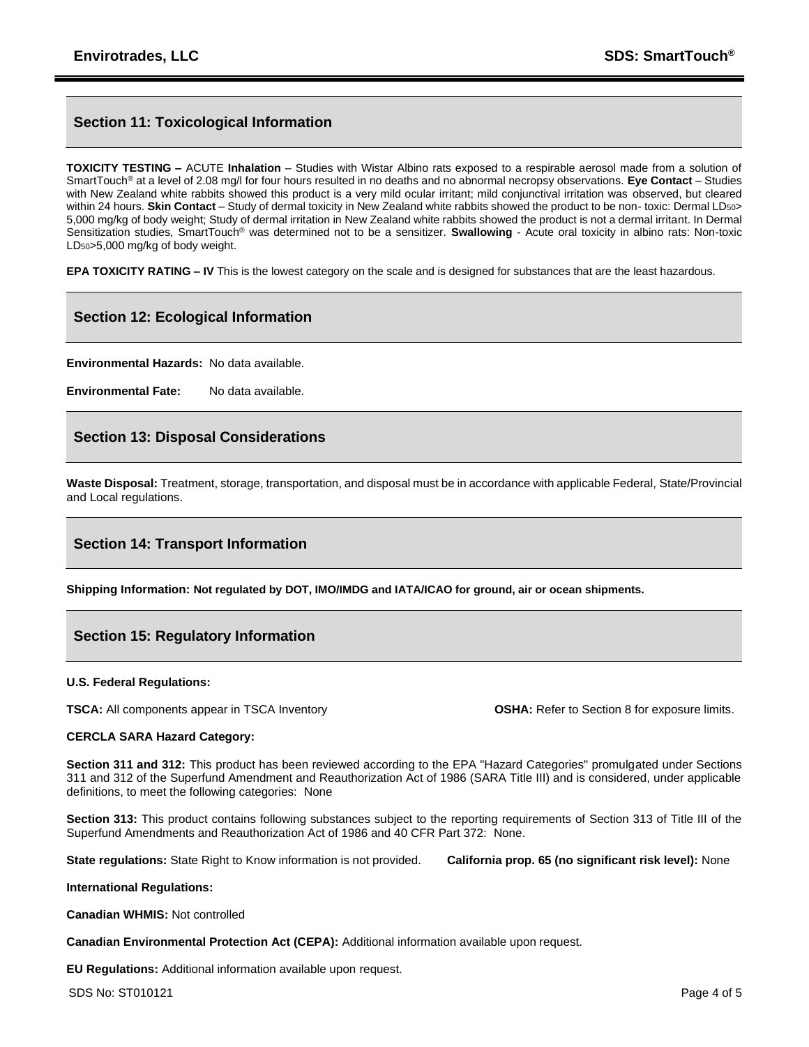# **Section 11: Toxicological Information**

**TOXICITY TESTING –** ACUTE **Inhalation** – Studies with Wistar Albino rats exposed to a respirable aerosol made from a solution of SmartTouch® at a level of 2.08 mg/l for four hours resulted in no deaths and no abnormal necropsy observations. **Eye Contact** – Studies with New Zealand white rabbits showed this product is a very mild ocular irritant; mild conjunctival irritation was observed, but cleared within 24 hours. **Skin Contact** – Study of dermal toxicity in New Zealand white rabbits showed the product to be non- toxic: Dermal LD50> 5,000 mg/kg of body weight; Study of dermal irritation in New Zealand white rabbits showed the product is not a dermal irritant. In Dermal Sensitization studies, SmartTouch® was determined not to be a sensitizer. **Swallowing** - Acute oral toxicity in albino rats: Non-toxic LD50>5,000 mg/kg of body weight.

**EPA TOXICITY RATING – IV** This is the lowest category on the scale and is designed for substances that are the least hazardous.

# **Section 12: Ecological Information**

**Environmental Hazards:** No data available.

**Environmental Fate:** No data available.

## **Section 13: Disposal Considerations**

**Waste Disposal:** Treatment, storage, transportation, and disposal must be in accordance with applicable Federal, State/Provincial and Local regulations.

## **Section 14: Transport Information**

**Shipping Information: Not regulated by DOT, IMO/IMDG and IATA/ICAO for ground, air or ocean shipments.**

## **Section 15: Regulatory Information**

### **U.S. Federal Regulations:**

**TSCA:** All components appear in TSCA Inventory **CSHA:** Refer to Section 8 for exposure limits.

### **CERCLA SARA Hazard Category:**

**Section 311 and 312:** This product has been reviewed according to the EPA "Hazard Categories" promulgated under Sections 311 and 312 of the Superfund Amendment and Reauthorization Act of 1986 (SARA Title III) and is considered, under applicable definitions, to meet the following categories: None

**Section 313:** This product contains following substances subject to the reporting requirements of Section 313 of Title III of the Superfund Amendments and Reauthorization Act of 1986 and 40 CFR Part 372: None.

**State regulations:** State Right to Know information is not provided. **California prop. 65 (no significant risk level):** None

### **International Regulations:**

**Canadian WHMIS:** Not controlled

**Canadian Environmental Protection Act (CEPA):** Additional information available upon request.

**EU Regulations:** Additional information available upon request.